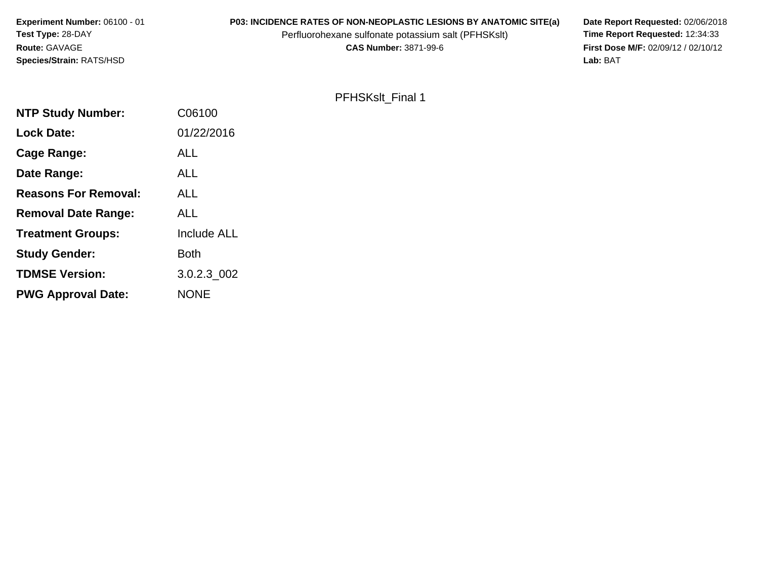**Experiment Number:** 06100 - 01**P03: INCIDENCE RATES OF NON-NEOPLASTIC LESIONS BY ANATOMIC SITE(a) Date Report Requested: 02/06/2018<br>Perfluorohexane sulfonate potassium salt (PFHSKslt) Time Report Requested: 12:34:33 Test Type:** 28-DAYPerfluorohexane sulfonate potassium salt (PFHSKslt)<br>**CAS Number:** 3871-99-6 **Route:** GAVAGE**First Dose M/F:** 02/09/12 / 02/10/12<br>Lab: BAT **Species/Strain:** RATS/HSD

PFHSKslt\_Final 1

**Lab:** BAT

| <b>NTP Study Number:</b>    | C06100             |
|-----------------------------|--------------------|
| <b>Lock Date:</b>           | 01/22/2016         |
| Cage Range:                 | ALL                |
| Date Range:                 | ALL                |
| <b>Reasons For Removal:</b> | ALL                |
| <b>Removal Date Range:</b>  | ALL                |
| <b>Treatment Groups:</b>    | <b>Include ALL</b> |
| <b>Study Gender:</b>        | <b>Both</b>        |
| <b>TDMSE Version:</b>       | 3.0.2.3 002        |
| <b>PWG Approval Date:</b>   | <b>NONE</b>        |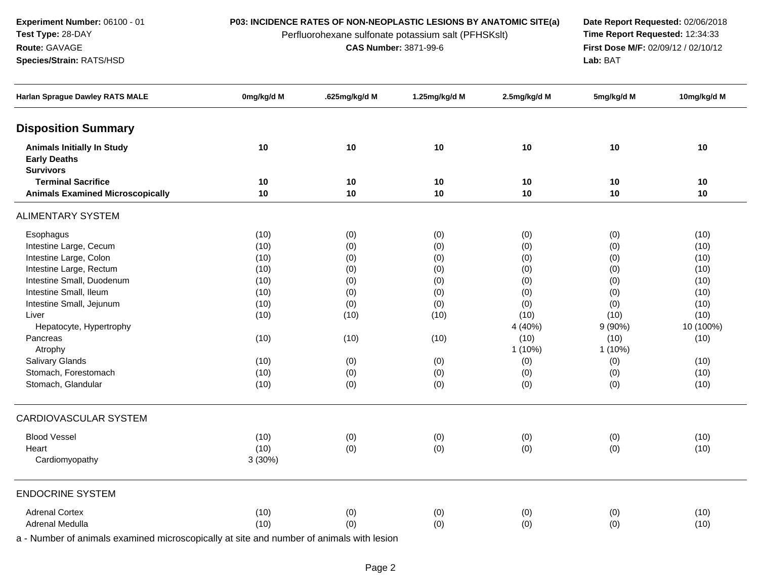**Experiment Number:** 06100 - 01**Test Type:** 28-DAY

**Species/Strain:** RATS/HSD

**Route:** GAVAGE

Perfluorohexane sulfonate potassium salt (PFHSKslt)<br>**CAS Number:** 3871-99-6

**P03: INCIDENCE RATES OF NON-NEOPLASTIC LESIONS BY ANATOMIC SITE(a) Date Report Requested: 02/06/2018**<br>Perfluorohexane sulfonate potassium salt (PFHSKslt) **Time Report Requested:** 12:34:33 **First Dose M/F:** 02/09/12 / 02/10/12<br>Lab: BAT **Lab:** BAT

| <b>Harlan Sprague Dawley RATS MALE</b>                                       | 0mg/kg/d M | .625mg/kg/d M | 1.25mg/kg/d M | 2.5mg/kg/d M | 5mg/kg/d M | 10mg/kg/d M |
|------------------------------------------------------------------------------|------------|---------------|---------------|--------------|------------|-------------|
| <b>Disposition Summary</b>                                                   |            |               |               |              |            |             |
| <b>Animals Initially In Study</b><br><b>Early Deaths</b><br><b>Survivors</b> | 10         | 10            | 10            | 10           | 10         | 10          |
| <b>Terminal Sacrifice</b>                                                    | 10         | 10            | 10            | 10           | 10         | 10          |
| <b>Animals Examined Microscopically</b>                                      | 10         | 10            | 10            | 10           | 10         | 10          |
| <b>ALIMENTARY SYSTEM</b>                                                     |            |               |               |              |            |             |
| Esophagus                                                                    | (10)       | (0)           | (0)           | (0)          | (0)        | (10)        |
| Intestine Large, Cecum                                                       | (10)       | (0)           | (0)           | (0)          | (0)        | (10)        |
| Intestine Large, Colon                                                       | (10)       | (0)           | (0)           | (0)          | (0)        | (10)        |
| Intestine Large, Rectum                                                      | (10)       | (0)           | (0)           | (0)          | (0)        | (10)        |
| Intestine Small, Duodenum                                                    | (10)       | (0)           | (0)           | (0)          | (0)        | (10)        |
| Intestine Small, Ileum                                                       | (10)       | (0)           | (0)           | (0)          | (0)        | (10)        |
| Intestine Small, Jejunum                                                     | (10)       | (0)           | (0)           | (0)          | (0)        | (10)        |
| Liver                                                                        | (10)       | (10)          | (10)          | (10)         | (10)       | (10)        |
| Hepatocyte, Hypertrophy                                                      |            |               |               | 4 (40%)      | $9(90\%)$  | 10 (100%)   |
| Pancreas                                                                     | (10)       | (10)          | (10)          | (10)         | (10)       | (10)        |
| Atrophy                                                                      |            |               |               | 1(10%)       | 1 (10%)    |             |
| Salivary Glands                                                              | (10)       | (0)           | (0)           | (0)          | (0)        | (10)        |
| Stomach, Forestomach                                                         | (10)       | (0)           | (0)           | (0)          | (0)        | (10)        |
| Stomach, Glandular                                                           | (10)       | (0)           | (0)           | (0)          | (0)        | (10)        |
| CARDIOVASCULAR SYSTEM                                                        |            |               |               |              |            |             |
| <b>Blood Vessel</b>                                                          | (10)       | (0)           | (0)           | (0)          | (0)        | (10)        |
| Heart                                                                        | (10)       | (0)           | (0)           | (0)          | (0)        | (10)        |
| Cardiomyopathy                                                               | 3(30%)     |               |               |              |            |             |
| <b>ENDOCRINE SYSTEM</b>                                                      |            |               |               |              |            |             |
| <b>Adrenal Cortex</b>                                                        | (10)       | (0)           | (0)           | (0)          | (0)        | (10)        |
| Adrenal Medulla                                                              | (10)       | (0)           | (0)           | (0)          | (0)        | (10)        |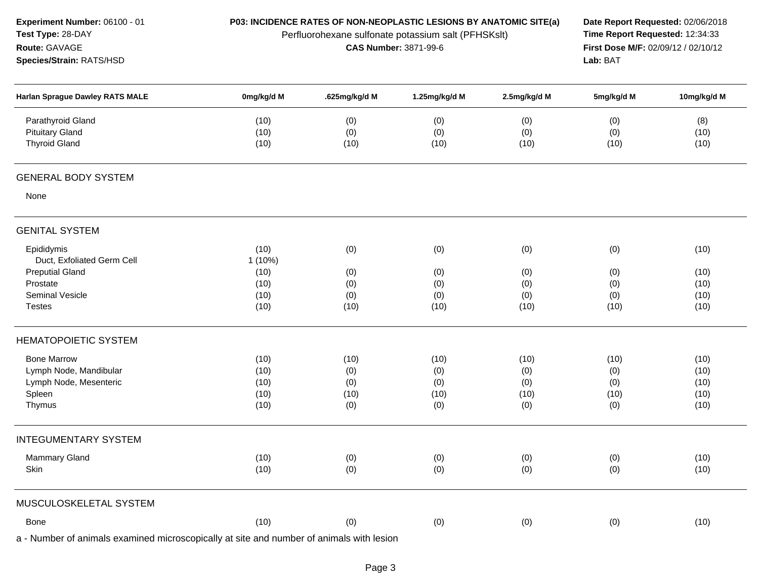| Experiment Number: 06100 - 01                                      | P03: INCIDENCE RATES OF NON-NEOPLASTIC LESIONS BY ANATOMIC SITE(a) | Date Report Requested: 02/06/2018                   |                              |              |                                 |             |
|--------------------------------------------------------------------|--------------------------------------------------------------------|-----------------------------------------------------|------------------------------|--------------|---------------------------------|-------------|
| Test Type: 28-DAY                                                  |                                                                    | Perfluorohexane sulfonate potassium salt (PFHSKslt) | <b>CAS Number: 3871-99-6</b> |              | Time Report Requested: 12:34:33 |             |
| Route: GAVAGE                                                      |                                                                    | First Dose M/F: 02/09/12 / 02/10/12                 |                              |              |                                 |             |
| Species/Strain: RATS/HSD<br><b>Harlan Sprague Dawley RATS MALE</b> |                                                                    | Lab: BAT                                            |                              |              |                                 |             |
|                                                                    | 0mg/kg/d M                                                         | .625mg/kg/d M                                       | 1.25mg/kg/d M                | 2.5mg/kg/d M | 5mg/kg/d M                      | 10mg/kg/d M |
| Parathyroid Gland                                                  | (10)                                                               | (0)                                                 | (0)                          | (0)          | (0)                             | (8)         |
| <b>Pituitary Gland</b>                                             | (10)                                                               | (0)                                                 | (0)                          | (0)          | (0)                             | (10)        |
| <b>Thyroid Gland</b>                                               | (10)                                                               | (10)                                                | (10)                         | (10)         | (10)                            | (10)        |
| <b>GENERAL BODY SYSTEM</b>                                         |                                                                    |                                                     |                              |              |                                 |             |
| None                                                               |                                                                    |                                                     |                              |              |                                 |             |
| <b>GENITAL SYSTEM</b>                                              |                                                                    |                                                     |                              |              |                                 |             |
| Epididymis                                                         | (10)                                                               | (0)                                                 | (0)                          | (0)          | (0)                             | (10)        |
| Duct, Exfoliated Germ Cell                                         | $1(10\%)$                                                          |                                                     |                              |              |                                 |             |
| <b>Preputial Gland</b>                                             | (10)                                                               | (0)                                                 | (0)                          | (0)          | (0)                             | (10)        |
| Prostate                                                           | (10)                                                               | (0)                                                 | (0)                          | (0)          | (0)                             | (10)        |
| <b>Seminal Vesicle</b>                                             | (10)                                                               | (0)                                                 | (0)                          | (0)          | (0)                             | (10)        |
| <b>Testes</b>                                                      | (10)                                                               | (10)                                                | (10)                         | (10)         | (10)                            | (10)        |
| <b>HEMATOPOIETIC SYSTEM</b>                                        |                                                                    |                                                     |                              |              |                                 |             |
| <b>Bone Marrow</b>                                                 | (10)                                                               | (10)                                                | (10)                         | (10)         | (10)                            | (10)        |
| Lymph Node, Mandibular                                             | (10)                                                               | (0)                                                 | (0)                          | (0)          | (0)                             | (10)        |
| Lymph Node, Mesenteric                                             | (10)                                                               | (0)                                                 | (0)                          | (0)          | (0)                             | (10)        |
| Spleen                                                             | (10)                                                               | (10)                                                | (10)                         | (10)         | (10)                            | (10)        |
| Thymus                                                             | (10)                                                               | (0)                                                 | (0)                          | (0)          | (0)                             | (10)        |
| <b>INTEGUMENTARY SYSTEM</b>                                        |                                                                    |                                                     |                              |              |                                 |             |
| Mammary Gland                                                      | (10)                                                               | (0)                                                 | (0)                          | (0)          | (0)                             | (10)        |
| Skin                                                               | (10)                                                               | (0)                                                 | (0)                          | (0)          | (0)                             | (10)        |
| MUSCULOSKELETAL SYSTEM                                             |                                                                    |                                                     |                              |              |                                 |             |
| Bone                                                               | (10)                                                               | (0)                                                 | (0)                          | (0)          | (0)                             | (10)        |
|                                                                    |                                                                    |                                                     |                              |              |                                 |             |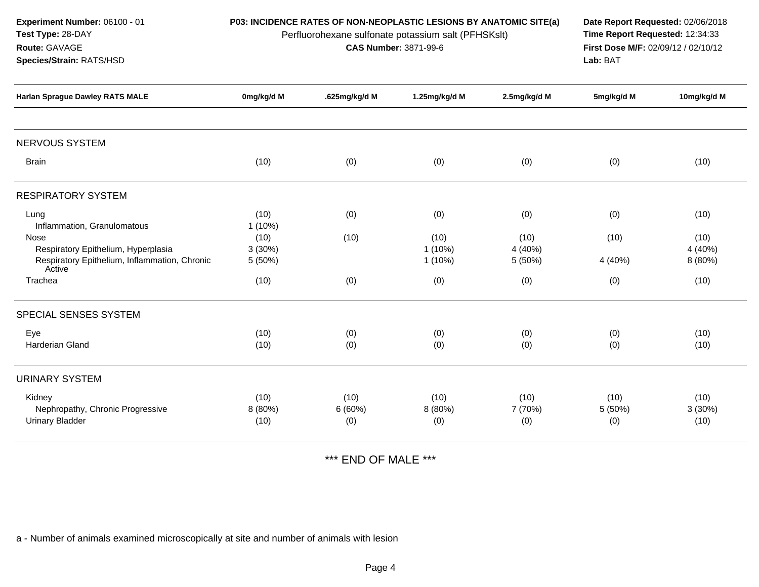|                          |                       | Date Report Requested: 02/06/2018<br>Time Report Requested: 12:34:33<br>First Dose M/F: 02/09/12 / 02/10/12<br>Lab: BAT |                              |                                                                                                                           |                            |
|--------------------------|-----------------------|-------------------------------------------------------------------------------------------------------------------------|------------------------------|---------------------------------------------------------------------------------------------------------------------------|----------------------------|
| 0mg/kg/d M               | .625mg/kg/d M         | 1.25mg/kg/d M                                                                                                           | 2.5mg/kg/d M                 | 5mg/kg/d M                                                                                                                | 10mg/kg/d M                |
|                          |                       |                                                                                                                         |                              |                                                                                                                           |                            |
| (10)                     | (0)                   | (0)                                                                                                                     | (0)                          | (0)                                                                                                                       | (10)                       |
|                          |                       |                                                                                                                         |                              |                                                                                                                           |                            |
| (10)<br>$1(10\%)$        | (0)                   | (0)                                                                                                                     | (0)                          | (0)                                                                                                                       | (10)                       |
| (10)<br>3(30%)<br>5(50%) | (10)                  | (10)<br>$1(10\%)$<br>1(10%)                                                                                             | (10)<br>4 (40%)<br>5 (50%)   | (10)<br>4 (40%)                                                                                                           | (10)<br>4 (40%)<br>8 (80%) |
| (10)                     | (0)                   | (0)                                                                                                                     | (0)                          | (0)                                                                                                                       | (10)                       |
|                          |                       |                                                                                                                         |                              |                                                                                                                           |                            |
| (10)<br>(10)             | (0)<br>(0)            | (0)<br>(0)                                                                                                              | (0)<br>(0)                   | (0)<br>(0)                                                                                                                | (10)<br>(10)               |
|                          |                       |                                                                                                                         |                              |                                                                                                                           |                            |
| (10)<br>8 (80%)<br>(10)  | (10)<br>6(60%)<br>(0) | (10)<br>8 (80%)<br>(0)                                                                                                  | (10)<br>7 (70%)<br>(0)       | (10)<br>5(50%)<br>(0)                                                                                                     | (10)<br>3(30%)<br>(10)     |
|                          |                       |                                                                                                                         | <b>CAS Number: 3871-99-6</b> | P03: INCIDENCE RATES OF NON-NEOPLASTIC LESIONS BY ANATOMIC SITE(a)<br>Perfluorohexane sulfonate potassium salt (PFHSKslt) |                            |

\*\*\* END OF MALE \*\*\*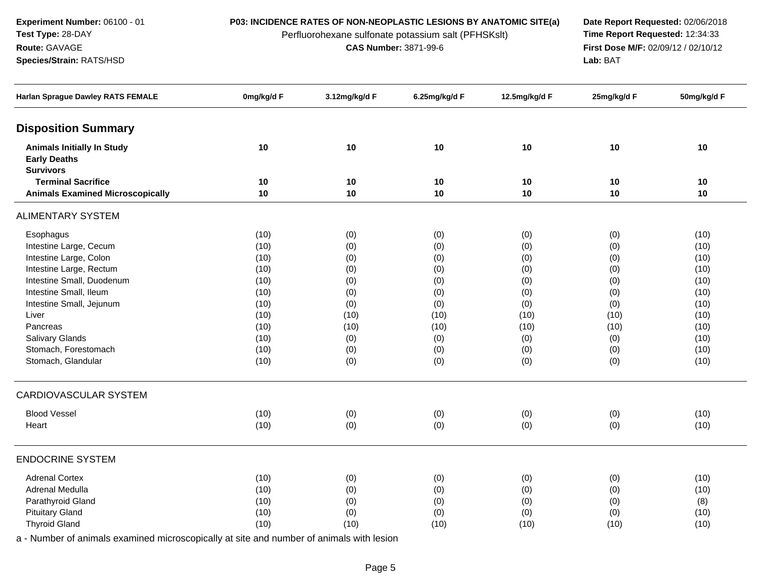**Experiment Number:** 06100 - 01**Test Type:** 28-DAY

**Species/Strain:** RATS/HSD

**Route:** GAVAGE

Perfluorohexane sulfonate potassium salt (PFHSKslt)<br>**CAS Number:** 3871-99-6

**P03: INCIDENCE RATES OF NON-NEOPLASTIC LESIONS BY ANATOMIC SITE(a) Date Report Requested: 02/06/2018**<br>Perfluorohexane sulfonate potassium salt (PFHSKslt) **Time Report Requested:** 12:34:33 **First Dose M/F:** 02/09/12 / 02/10/12<br>Lab: BAT **Lab:** BAT

| <b>Harlan Sprague Dawley RATS FEMALE</b>                                     | 0mg/kg/d F | 3.12mg/kg/d F | 6.25mg/kg/d F | 12.5mg/kg/d F | 25mg/kg/d F | 50mg/kg/d F |
|------------------------------------------------------------------------------|------------|---------------|---------------|---------------|-------------|-------------|
| <b>Disposition Summary</b>                                                   |            |               |               |               |             |             |
| <b>Animals Initially In Study</b><br><b>Early Deaths</b><br><b>Survivors</b> | 10         | $10$          | 10            | 10            | 10          | $10$        |
| <b>Terminal Sacrifice</b>                                                    | 10         | 10            | 10            | 10            | 10          | 10          |
| <b>Animals Examined Microscopically</b>                                      | 10         | 10            | 10            | 10            | 10          | 10          |
| <b>ALIMENTARY SYSTEM</b>                                                     |            |               |               |               |             |             |
| Esophagus                                                                    | (10)       | (0)           | (0)           | (0)           | (0)         | (10)        |
| Intestine Large, Cecum                                                       | (10)       | (0)           | (0)           | (0)           | (0)         | (10)        |
| Intestine Large, Colon                                                       | (10)       | (0)           | (0)           | (0)           | (0)         | (10)        |
| Intestine Large, Rectum                                                      | (10)       | (0)           | (0)           | (0)           | (0)         | (10)        |
| Intestine Small, Duodenum                                                    | (10)       | (0)           | (0)           | (0)           | (0)         | (10)        |
| Intestine Small, Ileum                                                       | (10)       | (0)           | (0)           | (0)           | (0)         | (10)        |
| Intestine Small, Jejunum                                                     | (10)       | (0)           | (0)           | (0)           | (0)         | (10)        |
| Liver                                                                        | (10)       | (10)          | (10)          | (10)          | (10)        | (10)        |
| Pancreas                                                                     | (10)       | (10)          | (10)          | (10)          | (10)        | (10)        |
| <b>Salivary Glands</b>                                                       | (10)       | (0)           | (0)           | (0)           | (0)         | (10)        |
| Stomach, Forestomach                                                         | (10)       | (0)           | (0)           | (0)           | (0)         | (10)        |
| Stomach, Glandular                                                           | (10)       | (0)           | (0)           | (0)           | (0)         | (10)        |
| CARDIOVASCULAR SYSTEM                                                        |            |               |               |               |             |             |
| <b>Blood Vessel</b>                                                          | (10)       | (0)           | (0)           | (0)           | (0)         | (10)        |
| Heart                                                                        | (10)       | (0)           | (0)           | (0)           | (0)         | (10)        |
| <b>ENDOCRINE SYSTEM</b>                                                      |            |               |               |               |             |             |
| <b>Adrenal Cortex</b>                                                        | (10)       | (0)           | (0)           | (0)           | (0)         | (10)        |
| Adrenal Medulla                                                              | (10)       | (0)           | (0)           | (0)           | (0)         | (10)        |
| Parathyroid Gland                                                            | (10)       | (0)           | (0)           | (0)           | (0)         | (8)         |
| <b>Pituitary Gland</b>                                                       | (10)       | (0)           | (0)           | (0)           | (0)         | (10)        |
| <b>Thyroid Gland</b>                                                         | (10)       | (10)          | (10)          | (10)          | (10)        | (10)        |
|                                                                              |            |               |               |               |             |             |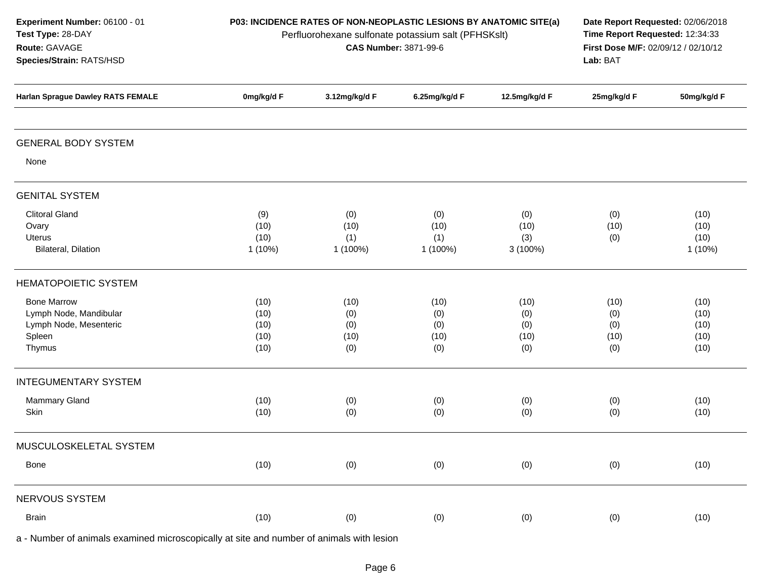| Experiment Number: 06100 - 01<br>Test Type: 28-DAY<br>Route: GAVAGE<br>Species/Strain: RATS/HSD | P03: INCIDENCE RATES OF NON-NEOPLASTIC LESIONS BY ANATOMIC SITE(a)<br>Perfluorohexane sulfonate potassium salt (PFHSKslt) | Date Report Requested: 02/06/2018<br>Time Report Requested: 12:34:33<br>First Dose M/F: 02/09/12 / 02/10/12<br>Lab: BAT |                                   |                                   |                                   |                                      |
|-------------------------------------------------------------------------------------------------|---------------------------------------------------------------------------------------------------------------------------|-------------------------------------------------------------------------------------------------------------------------|-----------------------------------|-----------------------------------|-----------------------------------|--------------------------------------|
| <b>Harlan Sprague Dawley RATS FEMALE</b>                                                        | 0mg/kg/d F                                                                                                                | 3.12mg/kg/d F                                                                                                           | 6.25mg/kg/d F                     | 12.5mg/kg/d F                     | 25mg/kg/d F                       | 50mg/kg/d F                          |
| <b>GENERAL BODY SYSTEM</b>                                                                      |                                                                                                                           |                                                                                                                         |                                   |                                   |                                   |                                      |
| None                                                                                            |                                                                                                                           |                                                                                                                         |                                   |                                   |                                   |                                      |
| <b>GENITAL SYSTEM</b>                                                                           |                                                                                                                           |                                                                                                                         |                                   |                                   |                                   |                                      |
| <b>Clitoral Gland</b><br>Ovary<br>Uterus<br>Bilateral, Dilation                                 | (9)<br>(10)<br>(10)<br>$1(10\%)$                                                                                          | (0)<br>(10)<br>(1)<br>1 (100%)                                                                                          | (0)<br>(10)<br>(1)<br>1 (100%)    | (0)<br>(10)<br>(3)<br>$3(100\%)$  | (0)<br>(10)<br>(0)                | (10)<br>(10)<br>(10)<br>1(10%)       |
| <b>HEMATOPOIETIC SYSTEM</b>                                                                     |                                                                                                                           |                                                                                                                         |                                   |                                   |                                   |                                      |
| <b>Bone Marrow</b><br>Lymph Node, Mandibular<br>Lymph Node, Mesenteric<br>Spleen<br>Thymus      | (10)<br>(10)<br>(10)<br>(10)<br>(10)                                                                                      | (10)<br>(0)<br>(0)<br>(10)<br>(0)                                                                                       | (10)<br>(0)<br>(0)<br>(10)<br>(0) | (10)<br>(0)<br>(0)<br>(10)<br>(0) | (10)<br>(0)<br>(0)<br>(10)<br>(0) | (10)<br>(10)<br>(10)<br>(10)<br>(10) |
| <b>INTEGUMENTARY SYSTEM</b>                                                                     |                                                                                                                           |                                                                                                                         |                                   |                                   |                                   |                                      |
| <b>Mammary Gland</b><br>Skin                                                                    | (10)<br>(10)                                                                                                              | (0)<br>(0)                                                                                                              | (0)<br>(0)                        | (0)<br>(0)                        | (0)<br>(0)                        | (10)<br>(10)                         |
| MUSCULOSKELETAL SYSTEM                                                                          |                                                                                                                           |                                                                                                                         |                                   |                                   |                                   |                                      |
| Bone                                                                                            | (10)                                                                                                                      | (0)                                                                                                                     | (0)                               | (0)                               | (0)                               | (10)                                 |
| NERVOUS SYSTEM                                                                                  |                                                                                                                           |                                                                                                                         |                                   |                                   |                                   |                                      |
| <b>Brain</b>                                                                                    | (10)                                                                                                                      | (0)                                                                                                                     | (0)                               | (0)                               | (0)                               | (10)                                 |